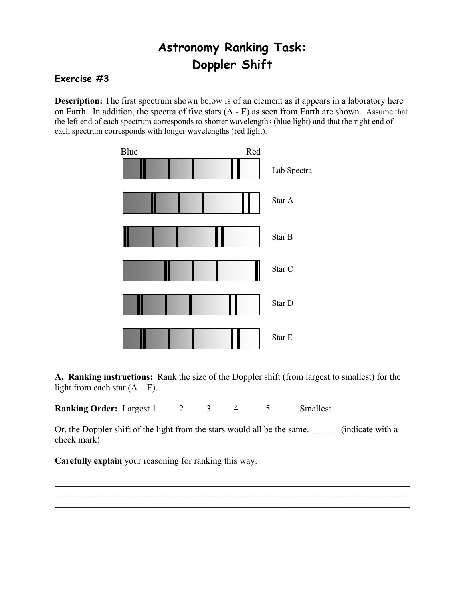## **Astronomy Ranking Task: Doppler Shift**

## **Exercise #3**

**Description:** The first spectrum shown below is of an element as it appears in a laboratory here on Earth. In addition, the spectra of five stars (A - E) as seen from Earth are shown. Assume that the left end of each spectrum corresponds to shorter wavelengths (blue light) and that the right end of each spectrum corresponds with longer wavelengths (red light).



**A. Ranking instructions:** Rank the size of the Doppler shift (from largest to smallest) for the light from each star  $(A - E)$ .

**Ranking Order:** Largest 1 \_\_\_\_ 2 \_\_\_\_ 3 \_\_\_\_ 4 \_\_\_\_ 5 \_\_\_\_\_ Smallest

Or, the Doppler shift of the light from the stars would all be the same. \_\_\_\_\_ (indicate with a check mark)

 $\mathcal{L}_\mathcal{L} = \{ \mathcal{L}_\mathcal{L} = \{ \mathcal{L}_\mathcal{L} = \{ \mathcal{L}_\mathcal{L} = \{ \mathcal{L}_\mathcal{L} = \{ \mathcal{L}_\mathcal{L} = \{ \mathcal{L}_\mathcal{L} = \{ \mathcal{L}_\mathcal{L} = \{ \mathcal{L}_\mathcal{L} = \{ \mathcal{L}_\mathcal{L} = \{ \mathcal{L}_\mathcal{L} = \{ \mathcal{L}_\mathcal{L} = \{ \mathcal{L}_\mathcal{L} = \{ \mathcal{L}_\mathcal{L} = \{ \mathcal{L}_\mathcal{$  $\mathcal{L}_\mathcal{L} = \{ \mathcal{L}_\mathcal{L} = \{ \mathcal{L}_\mathcal{L} = \{ \mathcal{L}_\mathcal{L} = \{ \mathcal{L}_\mathcal{L} = \{ \mathcal{L}_\mathcal{L} = \{ \mathcal{L}_\mathcal{L} = \{ \mathcal{L}_\mathcal{L} = \{ \mathcal{L}_\mathcal{L} = \{ \mathcal{L}_\mathcal{L} = \{ \mathcal{L}_\mathcal{L} = \{ \mathcal{L}_\mathcal{L} = \{ \mathcal{L}_\mathcal{L} = \{ \mathcal{L}_\mathcal{L} = \{ \mathcal{L}_\mathcal{$  $\mathcal{L}_\mathcal{L} = \{ \mathcal{L}_\mathcal{L} = \{ \mathcal{L}_\mathcal{L} = \{ \mathcal{L}_\mathcal{L} = \{ \mathcal{L}_\mathcal{L} = \{ \mathcal{L}_\mathcal{L} = \{ \mathcal{L}_\mathcal{L} = \{ \mathcal{L}_\mathcal{L} = \{ \mathcal{L}_\mathcal{L} = \{ \mathcal{L}_\mathcal{L} = \{ \mathcal{L}_\mathcal{L} = \{ \mathcal{L}_\mathcal{L} = \{ \mathcal{L}_\mathcal{L} = \{ \mathcal{L}_\mathcal{L} = \{ \mathcal{L}_\mathcal{$  $\mathcal{L}_\mathcal{L} = \{ \mathcal{L}_\mathcal{L} = \{ \mathcal{L}_\mathcal{L} = \{ \mathcal{L}_\mathcal{L} = \{ \mathcal{L}_\mathcal{L} = \{ \mathcal{L}_\mathcal{L} = \{ \mathcal{L}_\mathcal{L} = \{ \mathcal{L}_\mathcal{L} = \{ \mathcal{L}_\mathcal{L} = \{ \mathcal{L}_\mathcal{L} = \{ \mathcal{L}_\mathcal{L} = \{ \mathcal{L}_\mathcal{L} = \{ \mathcal{L}_\mathcal{L} = \{ \mathcal{L}_\mathcal{L} = \{ \mathcal{L}_\mathcal{$ 

**Carefully explain** your reasoning for ranking this way: